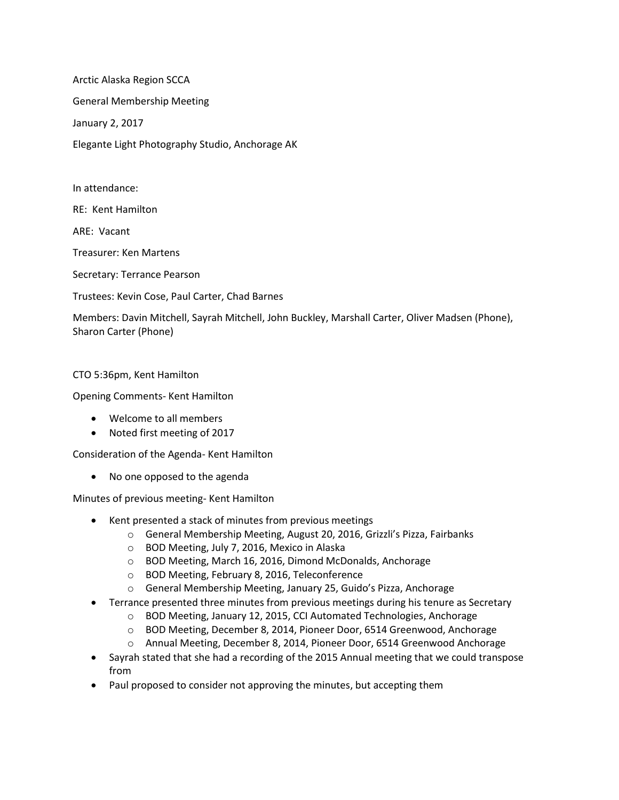Arctic Alaska Region SCCA General Membership Meeting January 2, 2017 Elegante Light Photography Studio, Anchorage AK

In attendance:

RE: Kent Hamilton

ARE: Vacant

Treasurer: Ken Martens

Secretary: Terrance Pearson

Trustees: Kevin Cose, Paul Carter, Chad Barnes

Members: Davin Mitchell, Sayrah Mitchell, John Buckley, Marshall Carter, Oliver Madsen (Phone), Sharon Carter (Phone)

CTO 5:36pm, Kent Hamilton

Opening Comments- Kent Hamilton

- Welcome to all members
- Noted first meeting of 2017

Consideration of the Agenda- Kent Hamilton

• No one opposed to the agenda

Minutes of previous meeting- Kent Hamilton

- Kent presented a stack of minutes from previous meetings
	- o General Membership Meeting, August 20, 2016, Grizzli's Pizza, Fairbanks
	- o BOD Meeting, July 7, 2016, Mexico in Alaska
	- o BOD Meeting, March 16, 2016, Dimond McDonalds, Anchorage
	- o BOD Meeting, February 8, 2016, Teleconference
	- o General Membership Meeting, January 25, Guido's Pizza, Anchorage
- Terrance presented three minutes from previous meetings during his tenure as Secretary
	- o BOD Meeting, January 12, 2015, CCI Automated Technologies, Anchorage
	- o BOD Meeting, December 8, 2014, Pioneer Door, 6514 Greenwood, Anchorage
	- o Annual Meeting, December 8, 2014, Pioneer Door, 6514 Greenwood Anchorage
- Sayrah stated that she had a recording of the 2015 Annual meeting that we could transpose from
- Paul proposed to consider not approving the minutes, but accepting them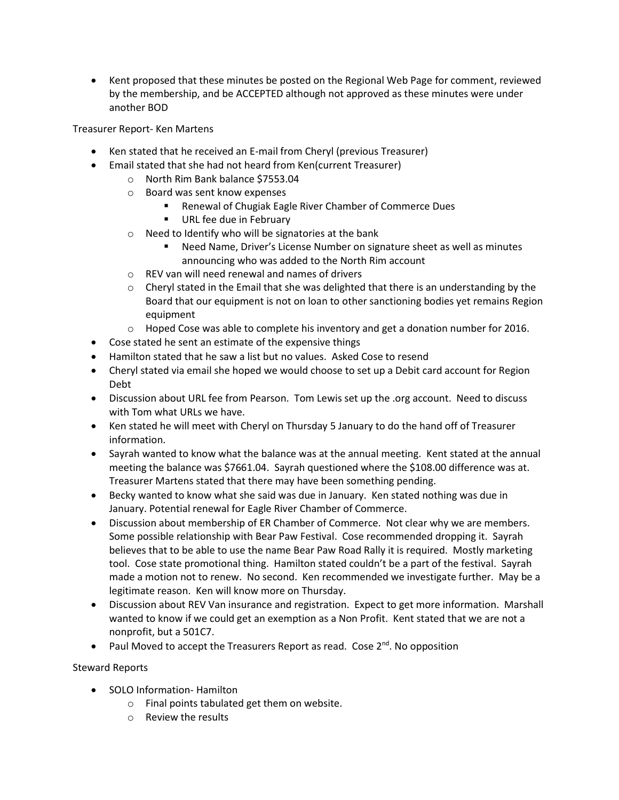• Kent proposed that these minutes be posted on the Regional Web Page for comment, reviewed by the membership, and be ACCEPTED although not approved as these minutes were under another BOD

Treasurer Report- Ken Martens

- Ken stated that he received an E-mail from Cheryl (previous Treasurer)
- Email stated that she had not heard from Ken(current Treasurer)
	- o North Rim Bank balance \$7553.04
	- o Board was sent know expenses
		- Renewal of Chugiak Eagle River Chamber of Commerce Dues
		- URL fee due in February
	- o Need to Identify who will be signatories at the bank
		- Need Name, Driver's License Number on signature sheet as well as minutes announcing who was added to the North Rim account
	- o REV van will need renewal and names of drivers
	- $\circ$  Cheryl stated in the Email that she was delighted that there is an understanding by the Board that our equipment is not on loan to other sanctioning bodies yet remains Region equipment
	- $\circ$  Hoped Cose was able to complete his inventory and get a donation number for 2016.
- Cose stated he sent an estimate of the expensive things
- Hamilton stated that he saw a list but no values. Asked Cose to resend
- Cheryl stated via email she hoped we would choose to set up a Debit card account for Region Debt
- Discussion about URL fee from Pearson. Tom Lewis set up the .org account. Need to discuss with Tom what URLs we have.
- Ken stated he will meet with Cheryl on Thursday 5 January to do the hand off of Treasurer information.
- Sayrah wanted to know what the balance was at the annual meeting. Kent stated at the annual meeting the balance was \$7661.04. Sayrah questioned where the \$108.00 difference was at. Treasurer Martens stated that there may have been something pending.
- Becky wanted to know what she said was due in January. Ken stated nothing was due in January. Potential renewal for Eagle River Chamber of Commerce.
- Discussion about membership of ER Chamber of Commerce. Not clear why we are members. Some possible relationship with Bear Paw Festival. Cose recommended dropping it. Sayrah believes that to be able to use the name Bear Paw Road Rally it is required. Mostly marketing tool. Cose state promotional thing. Hamilton stated couldn't be a part of the festival. Sayrah made a motion not to renew. No second. Ken recommended we investigate further. May be a legitimate reason. Ken will know more on Thursday.
- Discussion about REV Van insurance and registration. Expect to get more information. Marshall wanted to know if we could get an exemption as a Non Profit. Kent stated that we are not a nonprofit, but a 501C7.
- Paul Moved to accept the Treasurers Report as read. Cose  $2^{nd}$ . No opposition

Steward Reports

- SOLO Information- Hamilton
	- o Final points tabulated get them on website.
	- o Review the results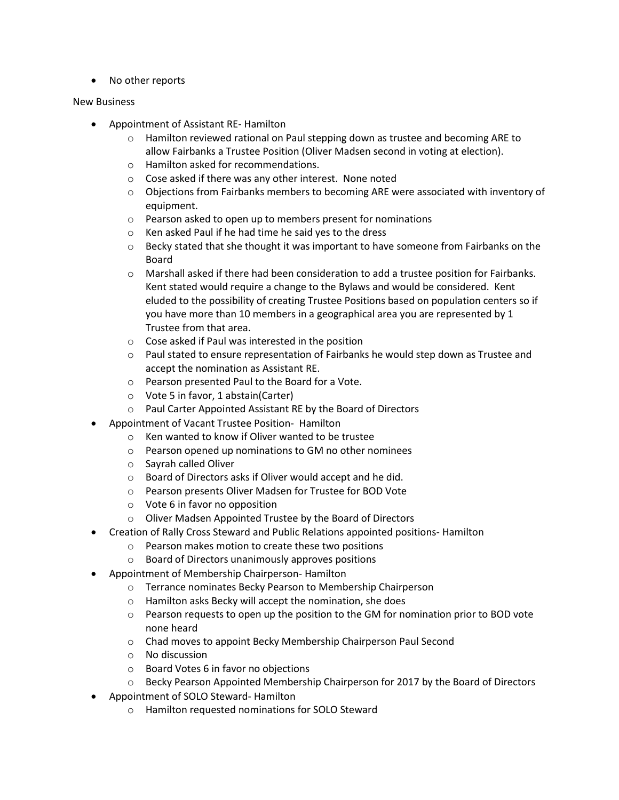• No other reports

## New Business

- Appointment of Assistant RE- Hamilton
	- o Hamilton reviewed rational on Paul stepping down as trustee and becoming ARE to allow Fairbanks a Trustee Position (Oliver Madsen second in voting at election).
	- o Hamilton asked for recommendations.
	- o Cose asked if there was any other interest. None noted
	- o Objections from Fairbanks members to becoming ARE were associated with inventory of equipment.
	- o Pearson asked to open up to members present for nominations
	- o Ken asked Paul if he had time he said yes to the dress
	- $\circ$  Becky stated that she thought it was important to have someone from Fairbanks on the Board
	- $\circ$  Marshall asked if there had been consideration to add a trustee position for Fairbanks. Kent stated would require a change to the Bylaws and would be considered. Kent eluded to the possibility of creating Trustee Positions based on population centers so if you have more than 10 members in a geographical area you are represented by 1 Trustee from that area.
	- o Cose asked if Paul was interested in the position
	- o Paul stated to ensure representation of Fairbanks he would step down as Trustee and accept the nomination as Assistant RE.
	- o Pearson presented Paul to the Board for a Vote.
	- o Vote 5 in favor, 1 abstain(Carter)
	- o Paul Carter Appointed Assistant RE by the Board of Directors
- Appointment of Vacant Trustee Position- Hamilton
	- o Ken wanted to know if Oliver wanted to be trustee
	- o Pearson opened up nominations to GM no other nominees
	- o Sayrah called Oliver
	- o Board of Directors asks if Oliver would accept and he did.
	- o Pearson presents Oliver Madsen for Trustee for BOD Vote
	- o Vote 6 in favor no opposition
	- o Oliver Madsen Appointed Trustee by the Board of Directors
- Creation of Rally Cross Steward and Public Relations appointed positions- Hamilton
	- o Pearson makes motion to create these two positions
	- o Board of Directors unanimously approves positions
- Appointment of Membership Chairperson- Hamilton
	- o Terrance nominates Becky Pearson to Membership Chairperson
	- o Hamilton asks Becky will accept the nomination, she does
	- o Pearson requests to open up the position to the GM for nomination prior to BOD vote none heard
	- o Chad moves to appoint Becky Membership Chairperson Paul Second
	- o No discussion
	- o Board Votes 6 in favor no objections
	- o Becky Pearson Appointed Membership Chairperson for 2017 by the Board of Directors
- Appointment of SOLO Steward- Hamilton
	- o Hamilton requested nominations for SOLO Steward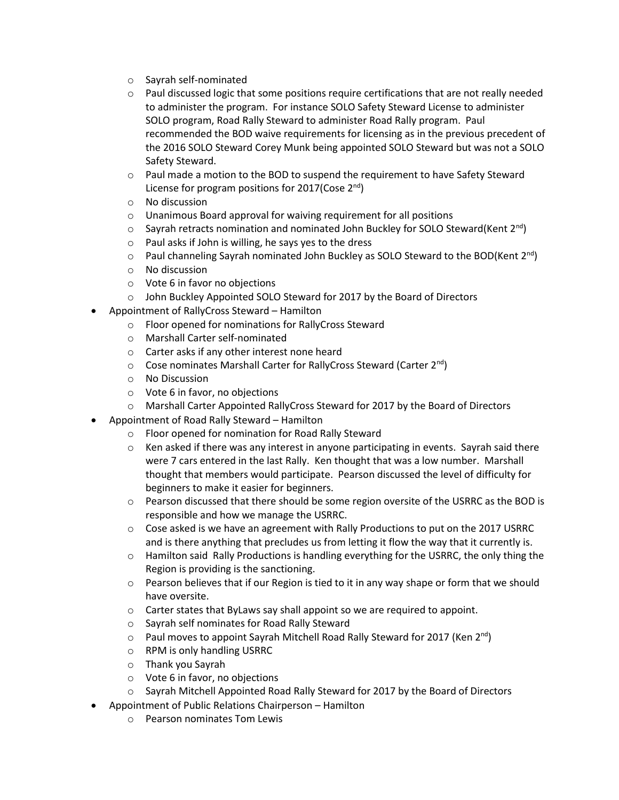- o Sayrah self-nominated
- $\circ$  Paul discussed logic that some positions require certifications that are not really needed to administer the program. For instance SOLO Safety Steward License to administer SOLO program, Road Rally Steward to administer Road Rally program. Paul recommended the BOD waive requirements for licensing as in the previous precedent of the 2016 SOLO Steward Corey Munk being appointed SOLO Steward but was not a SOLO Safety Steward.
- $\circ$  Paul made a motion to the BOD to suspend the requirement to have Safety Steward License for program positions for 2017(Cose  $2^{nd}$ )
- o No discussion
- o Unanimous Board approval for waiving requirement for all positions
- $\circ$  Sayrah retracts nomination and nominated John Buckley for SOLO Steward(Kent 2<sup>nd</sup>)
- o Paul asks if John is willing, he says yes to the dress
- $\circ$  Paul channeling Sayrah nominated John Buckley as SOLO Steward to the BOD(Kent 2<sup>nd</sup>)
- o No discussion
- o Vote 6 in favor no objections
- o John Buckley Appointed SOLO Steward for 2017 by the Board of Directors
- Appointment of RallyCross Steward Hamilton
	- o Floor opened for nominations for RallyCross Steward
	- o Marshall Carter self-nominated
	- o Carter asks if any other interest none heard
	- o Cose nominates Marshall Carter for RallyCross Steward (Carter 2<sup>nd</sup>)
	- o No Discussion
	- o Vote 6 in favor, no objections
	- o Marshall Carter Appointed RallyCross Steward for 2017 by the Board of Directors
- Appointment of Road Rally Steward Hamilton
	- o Floor opened for nomination for Road Rally Steward
	- $\circ$  Ken asked if there was any interest in anyone participating in events. Sayrah said there were 7 cars entered in the last Rally. Ken thought that was a low number. Marshall thought that members would participate. Pearson discussed the level of difficulty for beginners to make it easier for beginners.
	- $\circ$  Pearson discussed that there should be some region oversite of the USRRC as the BOD is responsible and how we manage the USRRC.
	- $\circ$  Cose asked is we have an agreement with Rally Productions to put on the 2017 USRRC and is there anything that precludes us from letting it flow the way that it currently is.
	- o Hamilton said Rally Productions is handling everything for the USRRC, the only thing the Region is providing is the sanctioning.
	- $\circ$  Pearson believes that if our Region is tied to it in any way shape or form that we should have oversite.
	- o Carter states that ByLaws say shall appoint so we are required to appoint.
	- o Sayrah self nominates for Road Rally Steward
	- $\circ$  Paul moves to appoint Sayrah Mitchell Road Rally Steward for 2017 (Ken 2<sup>nd</sup>)
	- o RPM is only handling USRRC
	- o Thank you Sayrah
	- o Vote 6 in favor, no objections
	- o Sayrah Mitchell Appointed Road Rally Steward for 2017 by the Board of Directors
- Appointment of Public Relations Chairperson Hamilton
	- o Pearson nominates Tom Lewis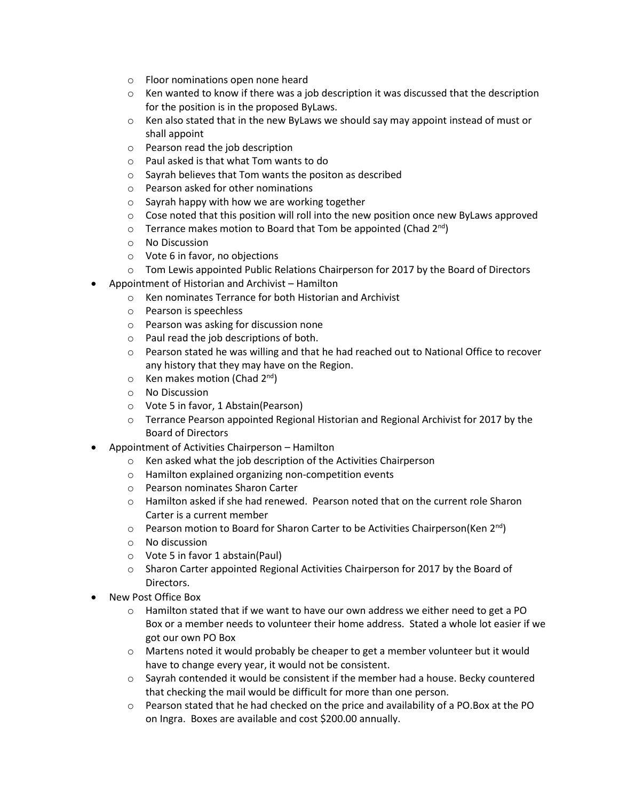- o Floor nominations open none heard
- $\circ$  Ken wanted to know if there was a job description it was discussed that the description for the position is in the proposed ByLaws.
- $\circ$  Ken also stated that in the new ByLaws we should say may appoint instead of must or shall appoint
- o Pearson read the job description
- o Paul asked is that what Tom wants to do
- o Sayrah believes that Tom wants the positon as described
- o Pearson asked for other nominations
- o Sayrah happy with how we are working together
- $\circ$  Cose noted that this position will roll into the new position once new ByLaws approved
- $\circ$  Terrance makes motion to Board that Tom be appointed (Chad 2<sup>nd</sup>)
- o No Discussion
- o Vote 6 in favor, no objections
- o Tom Lewis appointed Public Relations Chairperson for 2017 by the Board of Directors
- Appointment of Historian and Archivist Hamilton
	- o Ken nominates Terrance for both Historian and Archivist
	- o Pearson is speechless
	- o Pearson was asking for discussion none
	- o Paul read the job descriptions of both.
	- $\circ$  Pearson stated he was willing and that he had reached out to National Office to recover any history that they may have on the Region.
	- $\circ$  Ken makes motion (Chad 2<sup>nd</sup>)
	- o No Discussion
	- o Vote 5 in favor, 1 Abstain(Pearson)
	- $\circ$  Terrance Pearson appointed Regional Historian and Regional Archivist for 2017 by the Board of Directors
- Appointment of Activities Chairperson Hamilton
	- o Ken asked what the job description of the Activities Chairperson
	- o Hamilton explained organizing non-competition events
	- o Pearson nominates Sharon Carter
	- $\circ$  Hamilton asked if she had renewed. Pearson noted that on the current role Sharon Carter is a current member
	- $\circ$  Pearson motion to Board for Sharon Carter to be Activities Chairperson(Ken 2<sup>nd</sup>)
	- o No discussion
	- o Vote 5 in favor 1 abstain(Paul)
	- o Sharon Carter appointed Regional Activities Chairperson for 2017 by the Board of Directors.
- New Post Office Box
	- $\circ$  Hamilton stated that if we want to have our own address we either need to get a PO Box or a member needs to volunteer their home address. Stated a whole lot easier if we got our own PO Box
	- $\circ$  Martens noted it would probably be cheaper to get a member volunteer but it would have to change every year, it would not be consistent.
	- $\circ$  Sayrah contended it would be consistent if the member had a house. Becky countered that checking the mail would be difficult for more than one person.
	- $\circ$  Pearson stated that he had checked on the price and availability of a PO.Box at the PO on Ingra. Boxes are available and cost \$200.00 annually.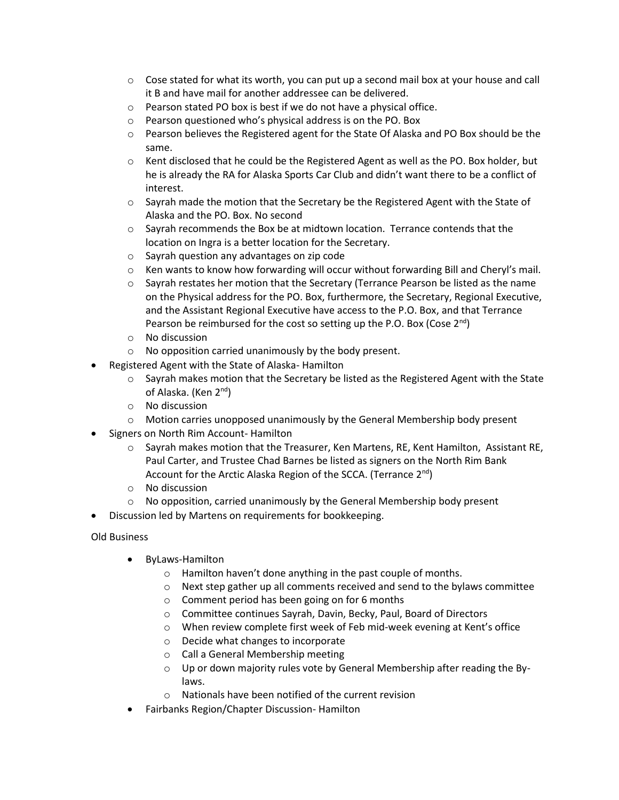- $\circ$  Cose stated for what its worth, you can put up a second mail box at your house and call it B and have mail for another addressee can be delivered.
- o Pearson stated PO box is best if we do not have a physical office.
- o Pearson questioned who's physical address is on the PO. Box
- o Pearson believes the Registered agent for the State Of Alaska and PO Box should be the same.
- $\circ$  Kent disclosed that he could be the Registered Agent as well as the PO. Box holder, but he is already the RA for Alaska Sports Car Club and didn't want there to be a conflict of interest.
- $\circ$  Sayrah made the motion that the Secretary be the Registered Agent with the State of Alaska and the PO. Box. No second
- $\circ$  Sayrah recommends the Box be at midtown location. Terrance contends that the location on Ingra is a better location for the Secretary.
- o Sayrah question any advantages on zip code
- $\circ$  Ken wants to know how forwarding will occur without forwarding Bill and Cheryl's mail.
- $\circ$  Sayrah restates her motion that the Secretary (Terrance Pearson be listed as the name on the Physical address for the PO. Box, furthermore, the Secretary, Regional Executive, and the Assistant Regional Executive have access to the P.O. Box, and that Terrance Pearson be reimbursed for the cost so setting up the P.O. Box (Cose  $2^{nd}$ )
- o No discussion
- o No opposition carried unanimously by the body present.
- Registered Agent with the State of Alaska- Hamilton
	- $\circ$  Sayrah makes motion that the Secretary be listed as the Registered Agent with the State of Alaska. (Ken 2<sup>nd</sup>)
	- o No discussion
	- $\circ$  Motion carries unopposed unanimously by the General Membership body present
- Signers on North Rim Account- Hamilton
	- $\circ$  Sayrah makes motion that the Treasurer, Ken Martens, RE, Kent Hamilton, Assistant RE, Paul Carter, and Trustee Chad Barnes be listed as signers on the North Rim Bank Account for the Arctic Alaska Region of the SCCA. (Terrance  $2^{nd}$ )
	- o No discussion
	- $\circ$  No opposition, carried unanimously by the General Membership body present
- Discussion led by Martens on requirements for bookkeeping.

Old Business

- ByLaws-Hamilton
	- o Hamilton haven't done anything in the past couple of months.
	- o Next step gather up all comments received and send to the bylaws committee
	- o Comment period has been going on for 6 months
	- o Committee continues Sayrah, Davin, Becky, Paul, Board of Directors
	- o When review complete first week of Feb mid-week evening at Kent's office
	- o Decide what changes to incorporate
	- o Call a General Membership meeting
	- $\circ$  Up or down majority rules vote by General Membership after reading the Bylaws.
	- o Nationals have been notified of the current revision
- Fairbanks Region/Chapter Discussion- Hamilton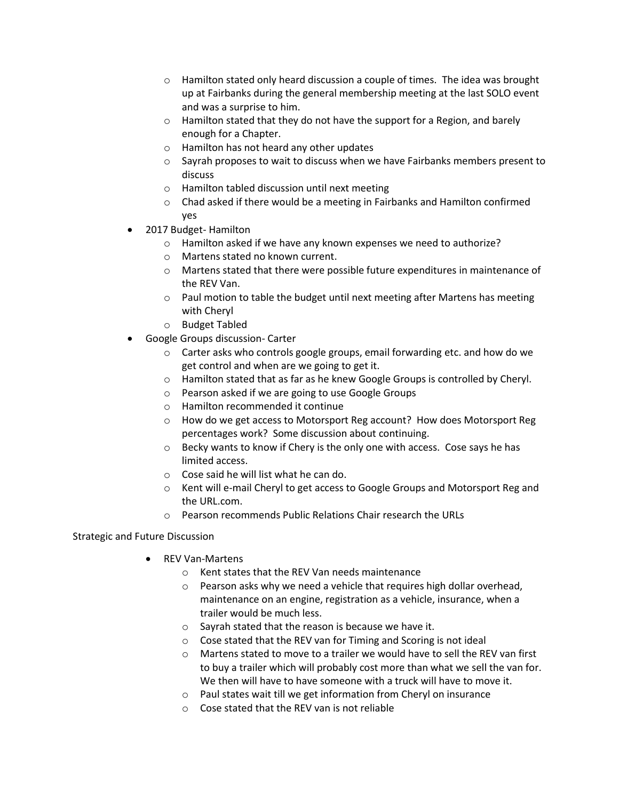- o Hamilton stated only heard discussion a couple of times. The idea was brought up at Fairbanks during the general membership meeting at the last SOLO event and was a surprise to him.
- o Hamilton stated that they do not have the support for a Region, and barely enough for a Chapter.
- o Hamilton has not heard any other updates
- o Sayrah proposes to wait to discuss when we have Fairbanks members present to discuss
- o Hamilton tabled discussion until next meeting
- $\circ$  Chad asked if there would be a meeting in Fairbanks and Hamilton confirmed yes
- 2017 Budget- Hamilton
	- o Hamilton asked if we have any known expenses we need to authorize?
	- o Martens stated no known current.
	- o Martens stated that there were possible future expenditures in maintenance of the REV Van.
	- o Paul motion to table the budget until next meeting after Martens has meeting with Cheryl
	- o Budget Tabled
- Google Groups discussion- Carter
	- o Carter asks who controls google groups, email forwarding etc. and how do we get control and when are we going to get it.
	- o Hamilton stated that as far as he knew Google Groups is controlled by Cheryl.
	- o Pearson asked if we are going to use Google Groups
	- o Hamilton recommended it continue
	- o How do we get access to Motorsport Reg account? How does Motorsport Reg percentages work? Some discussion about continuing.
	- $\circ$  Becky wants to know if Chery is the only one with access. Cose says he has limited access.
	- o Cose said he will list what he can do.
	- o Kent will e-mail Cheryl to get access to Google Groups and Motorsport Reg and the URL.com.
	- o Pearson recommends Public Relations Chair research the URLs

## Strategic and Future Discussion

- REV Van-Martens
	- o Kent states that the REV Van needs maintenance
	- o Pearson asks why we need a vehicle that requires high dollar overhead, maintenance on an engine, registration as a vehicle, insurance, when a trailer would be much less.
	- o Sayrah stated that the reason is because we have it.
	- o Cose stated that the REV van for Timing and Scoring is not ideal
	- o Martens stated to move to a trailer we would have to sell the REV van first to buy a trailer which will probably cost more than what we sell the van for. We then will have to have someone with a truck will have to move it.
	- o Paul states wait till we get information from Cheryl on insurance
	- o Cose stated that the REV van is not reliable